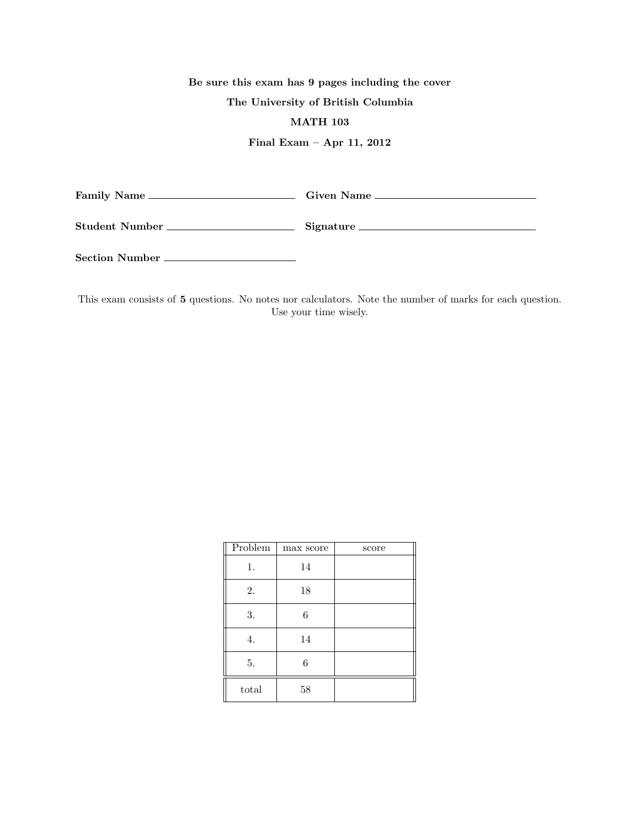## Be sure this exam has 9 pages including the cover

## The University of British Columbia

## MATH 103

## Final Exam – Apr 11, 2012

| Family Name_   | Given Name __ |
|----------------|---------------|
| Student Number | Signature.    |

Section Number

This exam consists of 5 questions. No notes nor calculators. Note the number of marks for each question. Use your time wisely.

| Problem | max score | score |
|---------|-----------|-------|
| 1.      | 14        |       |
| 2.      | 18        |       |
| 3.      | 6         |       |
| 4.      | 14        |       |
| 5.      | 6         |       |
| total   | 58        |       |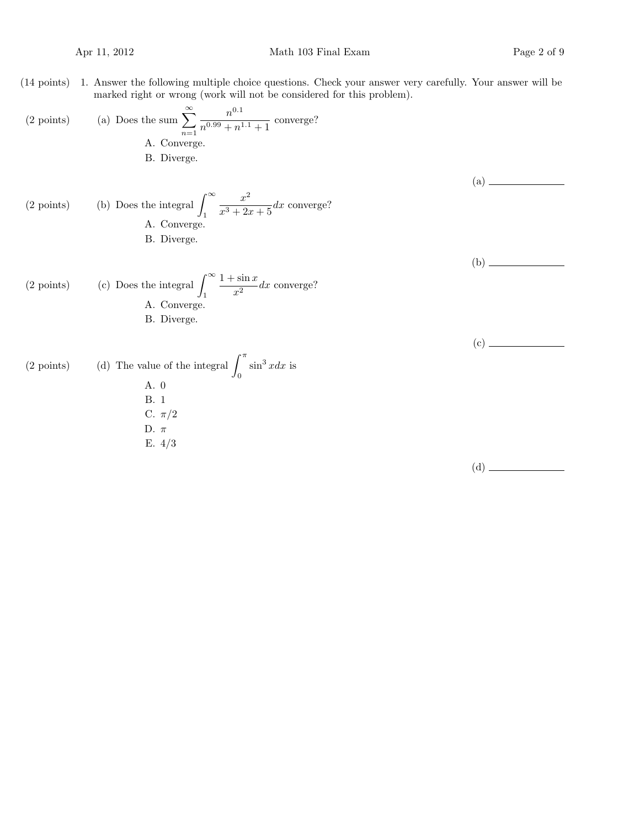(14 points) 1. Answer the following multiple choice questions. Check your answer very carefully. Your answer will be marked right or wrong (work will not be considered for this problem).

(2 points) (a) Does the sum 
$$
\sum_{n=1}^{\infty} \frac{n^{0.1}}{n^{0.99} + n^{1.1} + 1}
$$
 converge?  
\nA. Converge.  
\nB. Diverge.  
\n(A. Converge.  
\nB. Diverge.  
\n(A. Converge.  
\nB. Diverge.  
\n(C) Does the integral  $\int_{1}^{\infty} \frac{x^2}{x^3 + 2x + 5} dx$  converge?  
\n(A. Converge.  
\n(A. Converge.  
\n(A. Converge.  
\n(B. Diverge.  
\n(C) Does the integral  $\int_{0}^{\infty} \frac{1 + \sin x}{x^2} dx$  converge?  
\n(A. Converge.  
\n(B. Diverge.  
\n(C) Doints)  
\n(C) D. It is a. 0  
\n(A) The value of the integral  $\int_{0}^{\pi} \sin^3 x dx$  is  
\n(A. 0  
\n(B. 1  
\n(C.  $\pi/2$   
\n(D.  $\pi$   
\n(E. 4/3)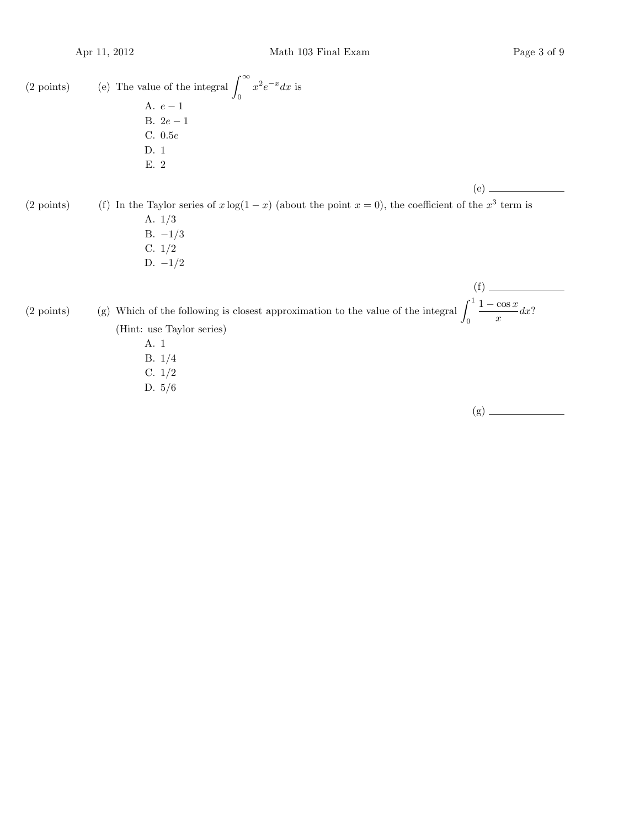(2 points) (e) The value of the integral  $\int_{-\infty}^{\infty}$ 0  $x^2 e^{-x} dx$  is A.  $e-1$ B.  $2e-1$ C. 0.5e D. 1 E. 2 (e) (2 points) (f) In the Taylor series of  $x \log(1-x)$  (about the point  $x = 0$ ), the coefficient of the  $x^3$  term is A. 1/3 B.  $-1/3$ C. 1/2 D.  $-1/2$ (f) (2 points) (g) Which of the following is closest approximation to the value of the integral  $\int_1^1$ 0  $1 - \cos x$  $\frac{\cos x}{x}dx?$ (Hint: use Taylor series) A. 1 B. 1/4 C. 1/2 D. 5/6

(g)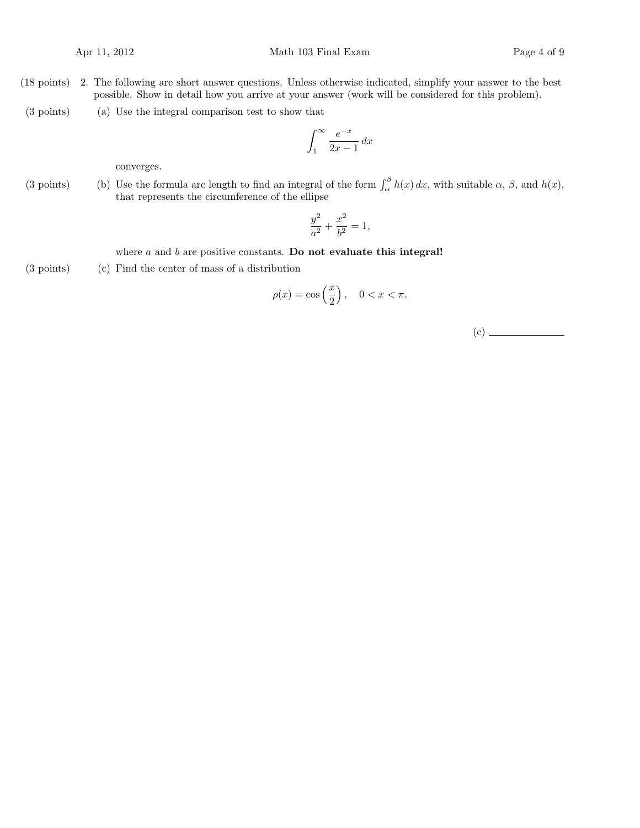- (18 points) 2. The following are short answer questions. Unless otherwise indicated, simplify your answer to the best possible. Show in detail how you arrive at your answer (work will be considered for this problem).
- $(3 \text{ points})$  (a) Use the integral comparison test to show that

$$
\int_{1}^{\infty} \frac{e^{-x}}{2x - 1} \, dx
$$

converges.

(3 points) (b) Use the formula arc length to find an integral of the form  $\int_{\alpha}^{\beta} h(x) dx$ , with suitable  $\alpha$ ,  $\beta$ , and  $h(x)$ , that represents the circumference of the ellipse

$$
\frac{y^2}{a^2} + \frac{x^2}{b^2} = 1,
$$

where  $a$  and  $b$  are positive constants. Do not evaluate this integral!

 $(3 \text{ points})$   $(c)$  Find the center of mass of a distribution

$$
\rho(x) = \cos\left(\frac{x}{2}\right), \quad 0 < x < \pi.
$$

(c)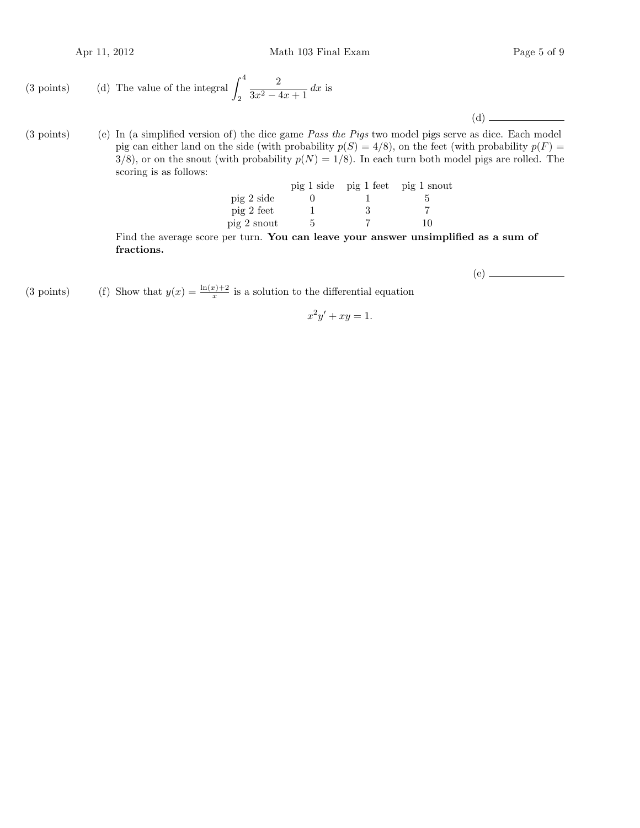Apr 11, 2012 Math 103 Final Exam Page 5 of 9

(3 points) (d) The value of the integral 
$$
\int_2^4 \frac{2}{3x^2 - 4x + 1} dx
$$
 is

 $(3 \text{ points})$  (e) In (a simplified version of) the dice game *Pass the Pigs* two model pigs serve as dice. Each model pig can either land on the side (with probability  $p(S) = 4/8$ ), on the feet (with probability  $p(F) =$  $3/8$ , or on the snout (with probability  $p(N) = 1/8$ ). In each turn both model pigs are rolled. The scoring is as follows:

|             |  | pig 1 side pig 1 feet pig 1 snout |  |
|-------------|--|-----------------------------------|--|
| pig 2 side  |  |                                   |  |
| pig 2 feet  |  |                                   |  |
| pig 2 snout |  | 10                                |  |

Find the average score per turn. You can leave your answer unsimplified as a sum of fractions.

(e)

(d)

(3 points) (f) Show that  $y(x) = \frac{\ln(x)+2}{x}$  is a solution to the differential equation

$$
x^2y' + xy = 1.
$$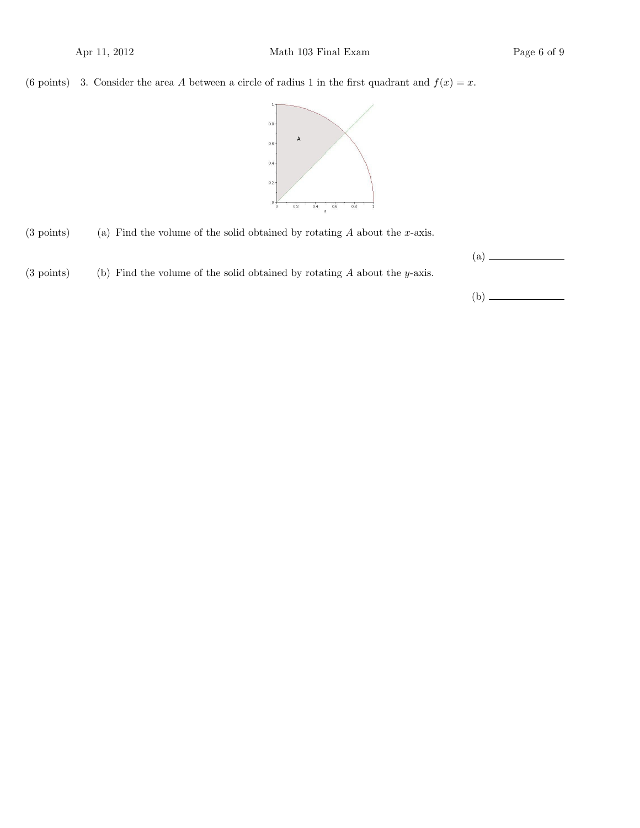(6 points) 3. Consider the area A between a circle of radius 1 in the first quadrant and  $f(x) = x$ .



- $(3 \text{ points})$  (a) Find the volume of the solid obtained by rotating A about the x-axis.
- $(3 \text{ points})$  (b) Find the volume of the solid obtained by rotating A about the y-axis.

| (a) |  |  |  |
|-----|--|--|--|
|     |  |  |  |
|     |  |  |  |
| (b) |  |  |  |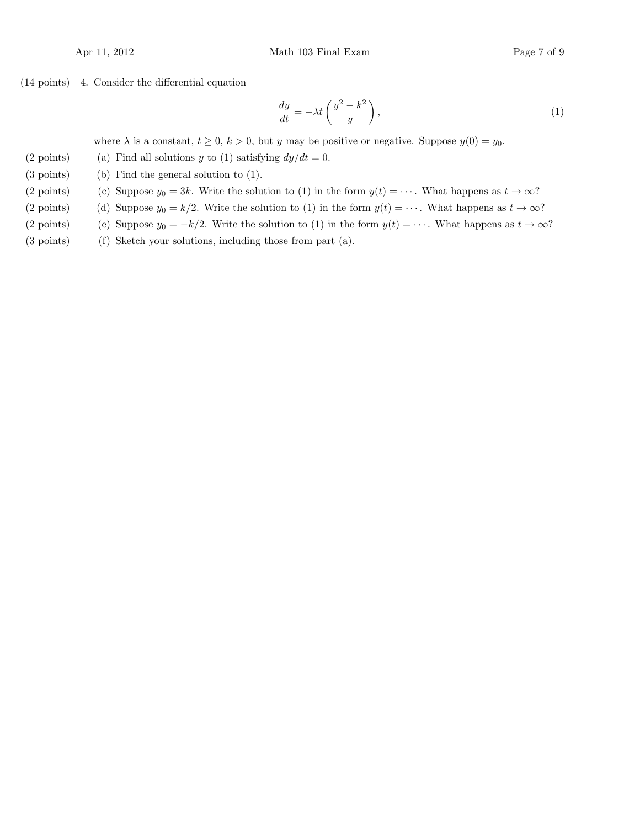$(14 \text{ points})$  4. Consider the differential equation

$$
\frac{dy}{dt} = -\lambda t \left( \frac{y^2 - k^2}{y} \right),\tag{1}
$$

where  $\lambda$  is a constant,  $t \geq 0$ ,  $k > 0$ , but y may be positive or negative. Suppose  $y(0) = y_0$ .

- (2 points) (a) Find all solutions y to (1) satisfying  $dy/dt = 0$ .
- $(3 \text{ points})$  (b) Find the general solution to  $(1)$ .
- (2 points) (c) Suppose  $y_0 = 3k$ . Write the solution to (1) in the form  $y(t) = \cdots$ . What happens as  $t \to \infty$ ?
- (2 points) (d) Suppose  $y_0 = k/2$ . Write the solution to (1) in the form  $y(t) = \cdots$ . What happens as  $t \to \infty$ ?
- (2 points) (e) Suppose  $y_0 = -k/2$ . Write the solution to (1) in the form  $y(t) = \cdots$ . What happens as  $t \to \infty$ ?
- $(3 \text{ points})$  (f) Sketch your solutions, including those from part  $(a)$ .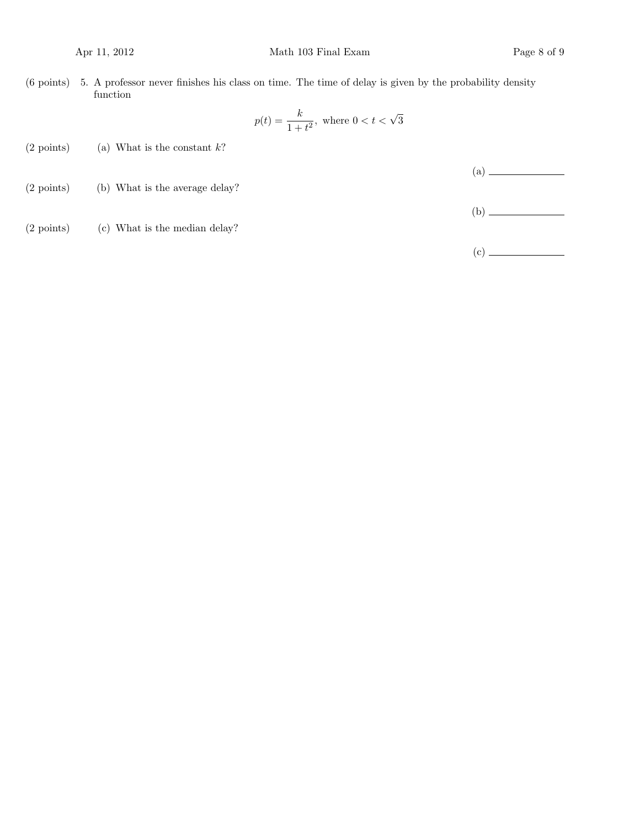$(6 \text{ points})$  5. A professor never finishes his class on time. The time of delay is given by the probability density function

$$
p(t) = \frac{k}{1+t^2}, \text{ where } 0 < t < \sqrt{3}
$$

- (2 points) (a) What is the constant  $k$ ?
- (2 points) (b) What is the average delay?

(b)

(a)

(2 points) (c) What is the median delay?

(c)